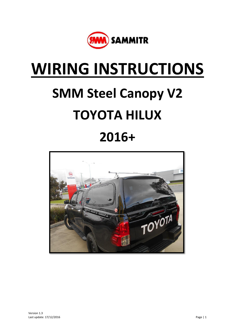

## **WIRING INSTRUCTIONS**

# **SMM Steel Canopy V2 TOYOTA HILUX 2016+**

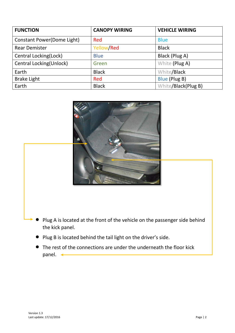| <b>FUNCTION</b>                    | <b>CANOPY WIRING</b> | <b>VEHICLE WIRING</b> |
|------------------------------------|----------------------|-----------------------|
| <b>Constant Power (Dome Light)</b> | <b>Red</b>           | <b>Blue</b>           |
| <b>Rear Demister</b>               | Yellow/Red           | <b>Black</b>          |
| Central Locking(Lock)              | <b>Blue</b>          | Black (Plug A)        |
| Central Locking(Unlock)            | Green                | White (Plug A)        |
| Earth                              | <b>Black</b>         | White/Black           |
| <b>Brake Light</b>                 | Red                  | Blue (Plug B)         |
| Earth                              | <b>Black</b>         | White/Black(Plug B)   |



- Plug A is located at the front of the vehicle on the passenger side behind the kick panel.
- Plug B is located behind the tail light on the driver's side.
- The rest of the connections are under the underneath the floor kick panel.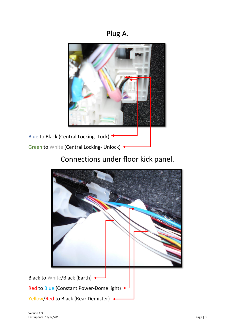### Plug A.



## Connections under floor kick panel.

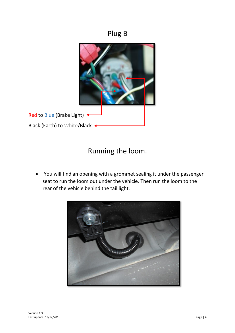#### Plug B



## Running the loom.

 You will find an opening with a grommet sealing it under the passenger seat to run the loom out under the vehicle. Then run the loom to the rear of the vehicle behind the tail light.